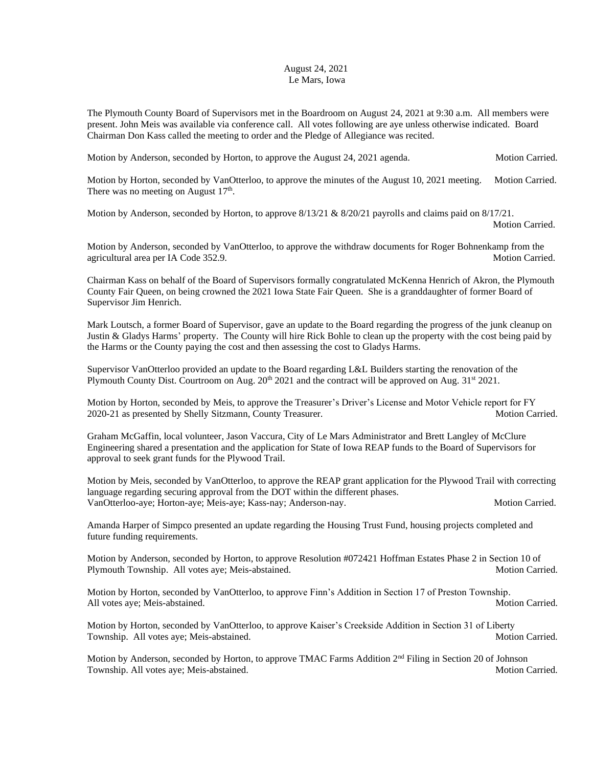## August 24, 2021 Le Mars, Iowa

The Plymouth County Board of Supervisors met in the Boardroom on August 24, 2021 at 9:30 a.m. All members were present. John Meis was available via conference call. All votes following are aye unless otherwise indicated. Board Chairman Don Kass called the meeting to order and the Pledge of Allegiance was recited.

Motion by Anderson, seconded by Horton, to approve the August 24, 2021 agenda. Motion Carried.

Motion by Horton, seconded by VanOtterloo, to approve the minutes of the August 10, 2021 meeting. Motion Carried. There was no meeting on August  $17<sup>th</sup>$ .

Motion by Anderson, seconded by Horton, to approve  $8/13/21 \& 8/20/21$  payrolls and claims paid on  $8/17/21$ .

Motion Carried.

Motion by Anderson, seconded by VanOtterloo, to approve the withdraw documents for Roger Bohnenkamp from the agricultural area per IA Code 352.9. Motion Carried.

Chairman Kass on behalf of the Board of Supervisors formally congratulated McKenna Henrich of Akron, the Plymouth County Fair Queen, on being crowned the 2021 Iowa State Fair Queen. She is a granddaughter of former Board of Supervisor Jim Henrich.

Mark Loutsch, a former Board of Supervisor, gave an update to the Board regarding the progress of the junk cleanup on Justin & Gladys Harms' property. The County will hire Rick Bohle to clean up the property with the cost being paid by the Harms or the County paying the cost and then assessing the cost to Gladys Harms.

Supervisor VanOtterloo provided an update to the Board regarding L&L Builders starting the renovation of the Plymouth County Dist. Courtroom on Aug.  $20^{th}$  2021 and the contract will be approved on Aug.  $31^{st}$  2021.

Motion by Horton, seconded by Meis, to approve the Treasurer's Driver's License and Motor Vehicle report for FY 2020-21 as presented by Shelly Sitzmann, County Treasurer. Motion Carried.

Graham McGaffin, local volunteer, Jason Vaccura, City of Le Mars Administrator and Brett Langley of McClure Engineering shared a presentation and the application for State of Iowa REAP funds to the Board of Supervisors for approval to seek grant funds for the Plywood Trail.

Motion by Meis, seconded by VanOtterloo, to approve the REAP grant application for the Plywood Trail with correcting language regarding securing approval from the DOT within the different phases. VanOtterloo-aye; Horton-aye; Meis-aye; Kass-nay; Anderson-nay. Motion Carried.

Amanda Harper of Simpco presented an update regarding the Housing Trust Fund, housing projects completed and future funding requirements.

Motion by Anderson, seconded by Horton, to approve Resolution #072421 Hoffman Estates Phase 2 in Section 10 of Plymouth Township. All votes aye; Meis-abstained. Motion Carried. Motion Carried.

Motion by Horton, seconded by VanOtterloo, to approve Finn's Addition in Section 17 of Preston Township. All votes aye; Meis-abstained. Motion Carried. Motion Carried.

Motion by Horton, seconded by VanOtterloo, to approve Kaiser's Creekside Addition in Section 31 of Liberty Township. All votes aye; Meis-abstained. Motion Carried. Motion Carried.

Motion by Anderson, seconded by Horton, to approve TMAC Farms Addition 2<sup>nd</sup> Filing in Section 20 of Johnson Township. All votes aye; Meis-abstained. Motion Carried. Motion Carried.